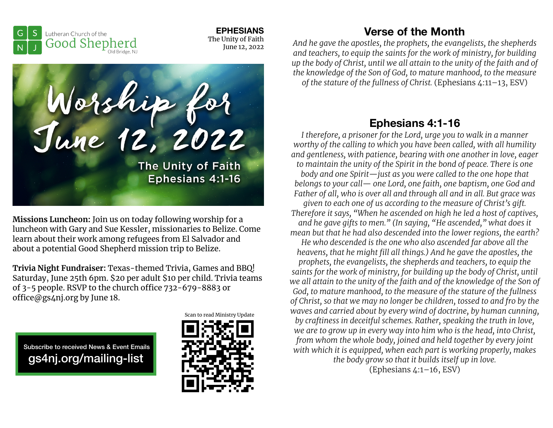**EPHESIANS**  The Unity of Faith June 12, 2022





**Missions Luncheon:** Join us on today following worship for a luncheon with Gary and Sue Kessler, missionaries to Belize. Come learn about their work among refugees from El Salvador and about a potential Good Shepherd mission trip to Belize.

**Trivia Night Fundraiser:** Texas-themed Trivia, Games and BBQ! Saturday, June 25th 6pm. \$20 per adult \$10 per child. Trivia teams of  $3-5$  people. RSVP to the church office  $732-679-8883$  or office@gs4nj.org by June 18.

Subscribe to received News & Event Emails gs4nj.org/mailing-list



## **Verse of the Month**

*And he gave the apostles, the prophets, the evangelists, the shepherds and teachers, to equip the saints for the work of ministry, for building up the body of Christ, until we all attain to the unity of the faith and of the knowledge of the Son of God, to mature manhood, to the measure of the stature of the fullness of Christ.* (Ephesians 4:11–13, ESV)

# **Ephesians 4:1-16**

*I therefore, a prisoner for the Lord, urge you to walk in a manner worthy of the calling to which you have been called, with all humility and gentleness, with patience, bearing with one another in love, eager to maintain the unity of the Spirit in the bond of peace. There is one body and one Spirit—just as you were called to the one hope that belongs to your call— one Lord, one faith, one baptism, one God and Father of all, who is over all and through all and in all. But grace was given to each one of us according to the measure of Christ's gift. Therefore it says, "When he ascended on high he led a host of captives, and he gave gifts to men." (In saying, "He ascended," what does it mean but that he had also descended into the lower regions, the earth? He who descended is the one who also ascended far above all the heavens, that he might fill all things.) And he gave the apostles, the prophets, the evangelists, the shepherds and teachers, to equip the saints for the work of ministry, for building up the body of Christ, until we all attain to the unity of the faith and of the knowledge of the Son of God, to mature manhood, to the measure of the stature of the fullness of Christ, so that we may no longer be children, tossed to and fro by the waves and carried about by every wind of doctrine, by human cunning, by craftiness in deceitful schemes. Rather, speaking the truth in love, we are to grow up in every way into him who is the head, into Christ, from whom the whole body, joined and held together by every joint with which it is equipped, when each part is working properly, makes the body grow so that it builds itself up in love.* (Ephesians 4:1–16, ESV)